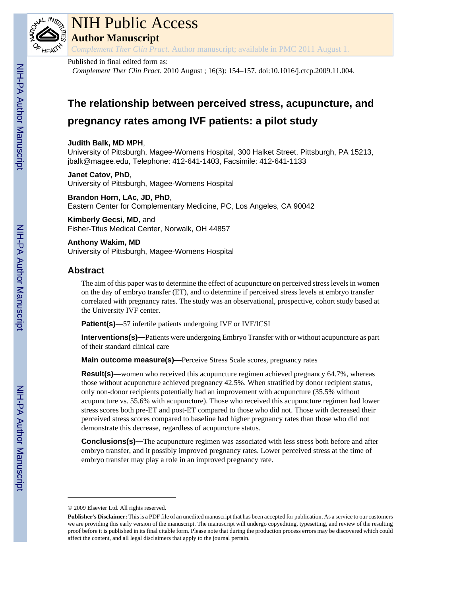

# NIH Public Access

**Author Manuscript**

*Complement Ther Clin Pract*. Author manuscript; available in PMC 2011 August 1.

# Published in final edited form as:

*Complement Ther Clin Pract*. 2010 August ; 16(3): 154–157. doi:10.1016/j.ctcp.2009.11.004.

# **The relationship between perceived stress, acupuncture, and pregnancy rates among IVF patients: a pilot study**

#### **Judith Balk, MD MPH**,

University of Pittsburgh, Magee-Womens Hospital, 300 Halket Street, Pittsburgh, PA 15213, jbalk@magee.edu, Telephone: 412-641-1403, Facsimile: 412-641-1133

# **Janet Catov, PhD**,

University of Pittsburgh, Magee-Womens Hospital

**Brandon Horn, LAc, JD, PhD**, Eastern Center for Complementary Medicine, PC, Los Angeles, CA 90042

**Kimberly Gecsi, MD**, and Fisher-Titus Medical Center, Norwalk, OH 44857

**Anthony Wakim, MD** University of Pittsburgh, Magee-Womens Hospital

# **Abstract**

The aim of this paper was to determine the effect of acupuncture on perceived stress levels in women on the day of embryo transfer (ET), and to determine if perceived stress levels at embryo transfer correlated with pregnancy rates. The study was an observational, prospective, cohort study based at the University IVF center.

**Patient(s)—**57 infertile patients undergoing IVF or IVF/ICSI

**Interventions(s)—**Patients were undergoing Embryo Transfer with or without acupuncture as part of their standard clinical care

**Main outcome measure(s)—**Perceive Stress Scale scores, pregnancy rates

**Result(s)—**women who received this acupuncture regimen achieved pregnancy 64.7%, whereas those without acupuncture achieved pregnancy 42.5%. When stratified by donor recipient status, only non-donor recipients potentially had an improvement with acupuncture (35.5% without acupuncture vs. 55.6% with acupuncture). Those who received this acupuncture regimen had lower stress scores both pre-ET and post-ET compared to those who did not. Those with decreased their perceived stress scores compared to baseline had higher pregnancy rates than those who did not demonstrate this decrease, regardless of acupuncture status.

**Conclusions(s)—The acupuncture regimen was associated with less stress both before and after** embryo transfer, and it possibly improved pregnancy rates. Lower perceived stress at the time of embryo transfer may play a role in an improved pregnancy rate.

<sup>© 2009</sup> Elsevier Ltd. All rights reserved.

**Publisher's Disclaimer:** This is a PDF file of an unedited manuscript that has been accepted for publication. As a service to our customers we are providing this early version of the manuscript. The manuscript will undergo copyediting, typesetting, and review of the resulting proof before it is published in its final citable form. Please note that during the production process errors may be discovered which could affect the content, and all legal disclaimers that apply to the journal pertain.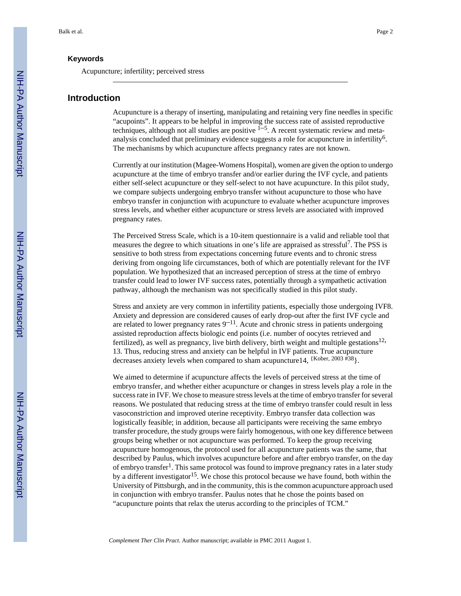#### **Keywords**

Acupuncture; infertility; perceived stress

#### **Introduction**

Acupuncture is a therapy of inserting, manipulating and retaining very fine needles in specific "acupoints". It appears to be helpful in improving the success rate of assisted reproductive techniques, although not all studies are positive  $1-5$ . A recent systematic review and metaanalysis concluded that preliminary evidence suggests a role for acupuncture in infertility<sup>6</sup>. The mechanisms by which acupuncture affects pregnancy rates are not known.

Currently at our institution (Magee-Womens Hospital), women are given the option to undergo acupuncture at the time of embryo transfer and/or earlier during the IVF cycle, and patients either self-select acupuncture or they self-select to not have acupuncture. In this pilot study, we compare subjects undergoing embryo transfer without acupuncture to those who have embryo transfer in conjunction with acupuncture to evaluate whether acupuncture improves stress levels, and whether either acupuncture or stress levels are associated with improved pregnancy rates.

The Perceived Stress Scale, which is a 10-item questionnaire is a valid and reliable tool that measures the degree to which situations in one's life are appraised as stressful<sup>7</sup>. The PSS is sensitive to both stress from expectations concerning future events and to chronic stress deriving from ongoing life circumstances, both of which are potentially relevant for the IVF population. We hypothesized that an increased perception of stress at the time of embryo transfer could lead to lower IVF success rates, potentially through a sympathetic activation pathway, although the mechanism was not specifically studied in this pilot study.

Stress and anxiety are very common in infertility patients, especially those undergoing IVF8. Anxiety and depression are considered causes of early drop-out after the first IVF cycle and are related to lower pregnancy rates  $9^{-11}$ . Acute and chronic stress in patients undergoing assisted reproduction affects biologic end points (i.e. number of oocytes retrieved and fertilized), as well as pregnancy, live birth delivery, birth weight and multiple gestations<sup>12,</sup> 13. Thus, reducing stress and anxiety can be helpful in IVF patients. True acupuncture decreases anxiety levels when compared to sham acupuncture14, {Kober, 2003 #38}.

We aimed to determine if acupuncture affects the levels of perceived stress at the time of embryo transfer, and whether either acupuncture or changes in stress levels play a role in the success rate in IVF. We chose to measure stress levels at the time of embryo transfer for several reasons. We postulated that reducing stress at the time of embryo transfer could result in less vasoconstriction and improved uterine receptivity. Embryo transfer data collection was logistically feasible; in addition, because all participants were receiving the same embryo transfer procedure, the study groups were fairly homogenous, with one key difference between groups being whether or not acupuncture was performed. To keep the group receiving acupuncture homogenous, the protocol used for all acupuncture patients was the same, that described by Paulus, which involves acupuncture before and after embryo transfer, on the day of embryo transfer<sup>1</sup>. This same protocol was found to improve pregnancy rates in a later study by a different investigator<sup>15</sup>. We chose this protocol because we have found, both within the University of Pittsburgh, and in the community, this is the common acupuncture approach used in conjunction with embryo transfer. Paulus notes that he chose the points based on "acupuncture points that relax the uterus according to the principles of TCM."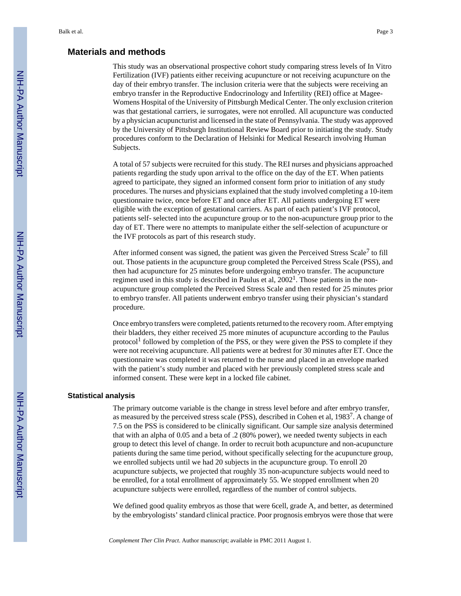#### **Materials and methods**

This study was an observational prospective cohort study comparing stress levels of In Vitro Fertilization (IVF) patients either receiving acupuncture or not receiving acupuncture on the day of their embryo transfer. The inclusion criteria were that the subjects were receiving an embryo transfer in the Reproductive Endocrinology and Infertility (REI) office at Magee-Womens Hospital of the University of Pittsburgh Medical Center. The only exclusion criterion was that gestational carriers, ie surrogates, were not enrolled. All acupuncture was conducted by a physician acupuncturist and licensed in the state of Pennsylvania. The study was approved by the University of Pittsburgh Institutional Review Board prior to initiating the study. Study procedures conform to the Declaration of Helsinki for Medical Research involving Human Subjects.

A total of 57 subjects were recruited for this study. The REI nurses and physicians approached patients regarding the study upon arrival to the office on the day of the ET. When patients agreed to participate, they signed an informed consent form prior to initiation of any study procedures. The nurses and physicians explained that the study involved completing a 10-item questionnaire twice, once before ET and once after ET. All patients undergoing ET were eligible with the exception of gestational carriers. As part of each patient's IVF protocol, patients self- selected into the acupuncture group or to the non-acupuncture group prior to the day of ET. There were no attempts to manipulate either the self-selection of acupuncture or the IVF protocols as part of this research study.

After informed consent was signed, the patient was given the Perceived Stress Scale<sup>7</sup> to fill out. Those patients in the acupuncture group completed the Perceived Stress Scale (PSS), and then had acupuncture for 25 minutes before undergoing embryo transfer. The acupuncture regimen used in this study is described in Paulus et al, 2002<sup>1</sup>. Those patients in the nonacupuncture group completed the Perceived Stress Scale and then rested for 25 minutes prior to embryo transfer. All patients underwent embryo transfer using their physician's standard procedure.

Once embryo transfers were completed, patients returned to the recovery room. After emptying their bladders, they either received 25 more minutes of acupuncture according to the Paulus protocol<sup>1</sup> followed by completion of the PSS, or they were given the PSS to complete if they were not receiving acupuncture. All patients were at bedrest for 30 minutes after ET. Once the questionnaire was completed it was returned to the nurse and placed in an envelope marked with the patient's study number and placed with her previously completed stress scale and informed consent. These were kept in a locked file cabinet.

#### **Statistical analysis**

The primary outcome variable is the change in stress level before and after embryo transfer, as measured by the perceived stress scale (PSS), described in Cohen et al,  $1983^7$ . A change of 7.5 on the PSS is considered to be clinically significant. Our sample size analysis determined that with an alpha of 0.05 and a beta of .2 (80% power), we needed twenty subjects in each group to detect this level of change. In order to recruit both acupuncture and non-acupuncture patients during the same time period, without specifically selecting for the acupuncture group, we enrolled subjects until we had 20 subjects in the acupuncture group. To enroll 20 acupuncture subjects, we projected that roughly 35 non-acupuncture subjects would need to be enrolled, for a total enrollment of approximately 55. We stopped enrollment when 20 acupuncture subjects were enrolled, regardless of the number of control subjects.

We defined good quality embryos as those that were 6cell, grade A, and better, as determined by the embryologists' standard clinical practice. Poor prognosis embryos were those that were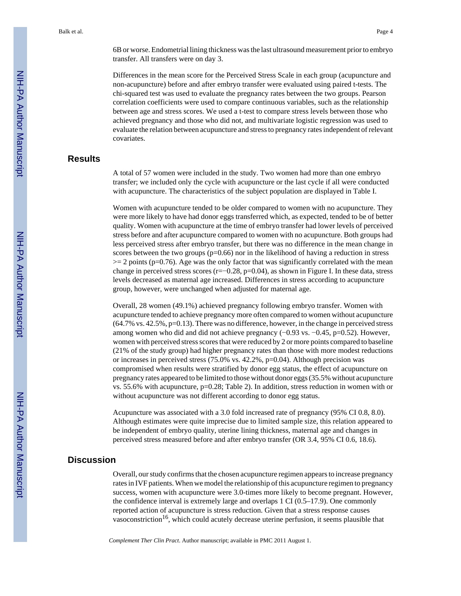6B or worse. Endometrial lining thickness was the last ultrasound measurement prior to embryo transfer. All transfers were on day 3.

Differences in the mean score for the Perceived Stress Scale in each group (acupuncture and non-acupuncture) before and after embryo transfer were evaluated using paired t-tests. The chi-squared test was used to evaluate the pregnancy rates between the two groups. Pearson correlation coefficients were used to compare continuous variables, such as the relationship between age and stress scores. We used a t-test to compare stress levels between those who achieved pregnancy and those who did not, and multivariate logistic regression was used to evaluate the relation between acupuncture and stress to pregnancy rates independent of relevant covariates.

#### **Results**

A total of 57 women were included in the study. Two women had more than one embryo transfer; we included only the cycle with acupuncture or the last cycle if all were conducted with acupuncture. The characteristics of the subject population are displayed in Table I.

Women with acupuncture tended to be older compared to women with no acupuncture. They were more likely to have had donor eggs transferred which, as expected, tended to be of better quality. Women with acupuncture at the time of embryo transfer had lower levels of perceived stress before and after acupuncture compared to women with no acupuncture. Both groups had less perceived stress after embryo transfer, but there was no difference in the mean change in scores between the two groups  $(p=0.66)$  nor in the likelihood of having a reduction in stress  $>= 2$  points (p=0.76). Age was the only factor that was significantly correlated with the mean change in perceived stress scores (r=−0.28, p=0.04), as shown in Figure I. In these data, stress levels decreased as maternal age increased. Differences in stress according to acupuncture group, however, were unchanged when adjusted for maternal age.

Overall, 28 women (49.1%) achieved pregnancy following embryo transfer. Women with acupuncture tended to achieve pregnancy more often compared to women without acupuncture  $(64.7\% \text{ vs. } 42.5\%, \text{p}=0.13)$ . There was no difference, however, in the change in perceived stress among women who did and did not achieve pregnancy (−0.93 vs. −0.45, p=0.52). However, women with perceived stress scores that were reduced by 2 or more points compared to baseline (21% of the study group) had higher pregnancy rates than those with more modest reductions or increases in perceived stress (75.0% vs. 42.2%, p=0.04). Although precision was compromised when results were stratified by donor egg status, the effect of acupuncture on pregnancy rates appeared to be limited to those without donor eggs (35.5% without acupuncture vs. 55.6% with acupuncture, p=0.28; Table 2). In addition, stress reduction in women with or without acupuncture was not different according to donor egg status.

Acupuncture was associated with a 3.0 fold increased rate of pregnancy (95% CI 0.8, 8.0). Although estimates were quite imprecise due to limited sample size, this relation appeared to be independent of embryo quality, uterine lining thickness, maternal age and changes in perceived stress measured before and after embryo transfer (OR 3.4, 95% CI 0.6, 18.6).

# **Discussion**

Overall, our study confirms that the chosen acupuncture regimen appears to increase pregnancy rates in IVF patients. When we model the relationship of this acupuncture regimen to pregnancy success, women with acupuncture were 3.0-times more likely to become pregnant. However, the confidence interval is extremely large and overlaps 1 CI (0.5–17.9). One commonly reported action of acupuncture is stress reduction. Given that a stress response causes vasoconstriction<sup>16</sup>, which could acutely decrease uterine perfusion, it seems plausible that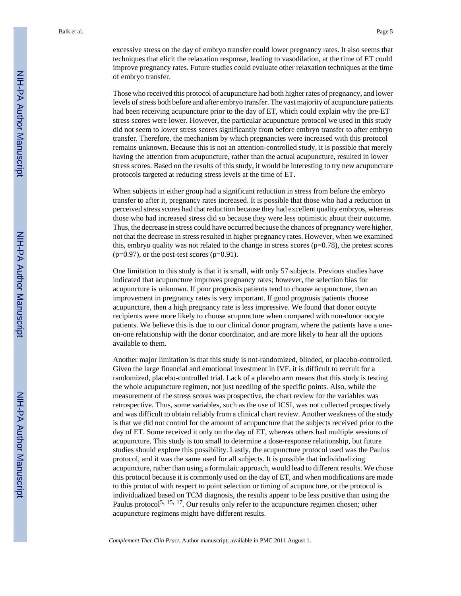Those who received this protocol of acupuncture had both higher rates of pregnancy, and lower levels of stress both before and after embryo transfer. The vast majority of acupuncture patients had been receiving acupuncture prior to the day of ET, which could explain why the pre-ET stress scores were lower. However, the particular acupuncture protocol we used in this study did not seem to lower stress scores significantly from before embryo transfer to after embryo transfer. Therefore, the mechanism by which pregnancies were increased with this protocol remains unknown. Because this is not an attention-controlled study, it is possible that merely having the attention from acupuncture, rather than the actual acupuncture, resulted in lower stress scores. Based on the results of this study, it would be interesting to try new acupuncture protocols targeted at reducing stress levels at the time of ET.

When subjects in either group had a significant reduction in stress from before the embryo transfer to after it, pregnancy rates increased. It is possible that those who had a reduction in perceived stress scores had that reduction because they had excellent quality embryos, whereas those who had increased stress did so because they were less optimistic about their outcome. Thus, the decrease in stress could have occurred because the chances of pregnancy were higher, not that the decrease in stress resulted in higher pregnancy rates. However, when we examined this, embryo quality was not related to the change in stress scores ( $p=0.78$ ), the pretest scores  $(p=0.97)$ , or the post-test scores  $(p=0.91)$ .

One limitation to this study is that it is small, with only 57 subjects. Previous studies have indicated that acupuncture improves pregnancy rates; however, the selection bias for acupuncture is unknown. If poor prognosis patients tend to choose acupuncture, then an improvement in pregnancy rates is very important. If good prognosis patients choose acupuncture, then a high pregnancy rate is less impressive. We found that donor oocyte recipients were more likely to choose acupuncture when compared with non-donor oocyte patients. We believe this is due to our clinical donor program, where the patients have a oneon-one relationship with the donor coordinator, and are more likely to hear all the options available to them.

Another major limitation is that this study is not-randomized, blinded, or placebo-controlled. Given the large financial and emotional investment in IVF, it is difficult to recruit for a randomized, placebo-controlled trial. Lack of a placebo arm means that this study is testing the whole acupuncture regimen, not just needling of the specific points. Also, while the measurement of the stress scores was prospective, the chart review for the variables was retrospective. Thus, some variables, such as the use of ICSI, was not collected prospectively and was difficult to obtain reliably from a clinical chart review. Another weakness of the study is that we did not control for the amount of acupuncture that the subjects received prior to the day of ET. Some received it only on the day of ET, whereas others had multiple sessions of acupuncture. This study is too small to determine a dose-response relationship, but future studies should explore this possibility. Lastly, the acupuncture protocol used was the Paulus protocol, and it was the same used for all subjects. It is possible that individualizing acupuncture, rather than using a formulaic approach, would lead to different results. We chose this protocol because it is commonly used on the day of ET, and when modifications are made to this protocol with respect to point selection or timing of acupuncture, or the protocol is individualized based on TCM diagnosis, the results appear to be less positive than using the Paulus protocol<sup>5, 15, 17</sup>. Our results only refer to the acupuncture regimen chosen; other acupuncture regimens might have different results.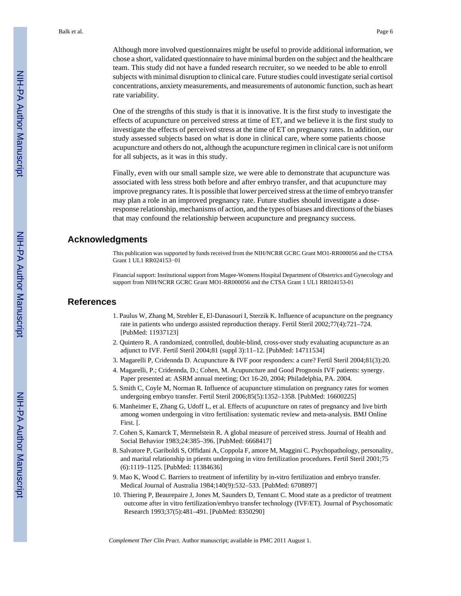Although more involved questionnaires might be useful to provide additional information, we chose a short, validated questionnaire to have minimal burden on the subject and the healthcare team. This study did not have a funded research recruiter, so we needed to be able to enroll subjects with minimal disruption to clinical care. Future studies could investigate serial cortisol concentrations, anxiety measurements, and measurements of autonomic function, such as heart rate variability.

One of the strengths of this study is that it is innovative. It is the first study to investigate the effects of acupuncture on perceived stress at time of ET, and we believe it is the first study to investigate the effects of perceived stress at the time of ET on pregnancy rates. In addition, our study assessed subjects based on what is done in clinical care, where some patients choose acupuncture and others do not, although the acupuncture regimen in clinical care is not uniform for all subjects, as it was in this study.

Finally, even with our small sample size, we were able to demonstrate that acupuncture was associated with less stress both before and after embryo transfer, and that acupuncture may improve pregnancy rates. It is possible that lower perceived stress at the time of embryo transfer may plan a role in an improved pregnancy rate. Future studies should investigate a doseresponse relationship, mechanisms of action, and the types of biases and directions of the biases that may confound the relationship between acupuncture and pregnancy success.

# **Acknowledgments**

This publication was supported by funds received from the NIH/NCRR GCRC Grant MO1-RR000056 and the CTSA Grant 1 UL1 RR024153−01

Financial support: Institutional support from Magee-Womens Hospital Department of Obstetrics and Gynecology and support from NIH/NCRR GCRC Grant MO1-RR000056 and the CTSA Grant 1 UL1 RR024153-01

#### **References**

- 1. Paulus W, Zhang M, Strehler E, El-Danasouri I, Sterzik K. Influence of acupuncture on the pregnancy rate in patients who undergo assisted reproduction therapy. Fertil Steril 2002;77(4):721–724. [PubMed: 11937123]
- 2. Quintero R. A randomized, controlled, double-blind, cross-over study evaluating acupuncture as an adjunct to IVF. Fertil Steril 2004;81 (suppl 3):11–12. [PubMed: 14711534]
- 3. Magarelli P, Cridennda D. Acupuncture & IVF poor responders: a cure? Fertil Steril 2004;81(3):20.
- 4. Magarelli, P.; Cridennda, D.; Cohen, M. Acupuncture and Good Prognosis IVF patients: synergy. Paper presented at: ASRM annual meeting; Oct 16-20, 2004; Philadelphia, PA. 2004.
- 5. Smith C, Coyle M, Norman R. Influence of acupuncture stimulation on pregnancy rates for women undergoing embryo transfer. Fertil Steril 2006;85(5):1352–1358. [PubMed: 16600225]
- 6. Manheimer E, Zhang G, Udoff L, et al. Effects of acupuncture on rates of pregnancy and live birth among women undergoing in vitro fertilisation: systematic review and meta-analysis. BMJ Online First. [.
- 7. Cohen S, Kamarck T, Mermelstein R. A global measure of perceived stress. Journal of Health and Social Behavior 1983;24:385–396. [PubMed: 6668417]
- 8. Salvatore P, Gariboldi S, Offidani A, Coppola F, amore M, Maggini C. Psychopathology, personality, and marital relationship in ptients undergoing in vitro fertilization procedures. Fertil Steril 2001;75 (6):1119–1125. [PubMed: 11384636]
- 9. Mao K, Wood C. Barriers to treatment of infertility by in-vitro fertilization and embryo transfer. Medical Journal of Australia 1984;140(9):532–533. [PubMed: 6708897]
- 10. Thiering P, Beaurepaire J, Jones M, Saunders D, Tennant C. Mood state as a predictor of treatment outcome after in vitro fertilization/embryo transfer technology (IVF/ET). Journal of Psychosomatic Research 1993;37(5):481–491. [PubMed: 8350290]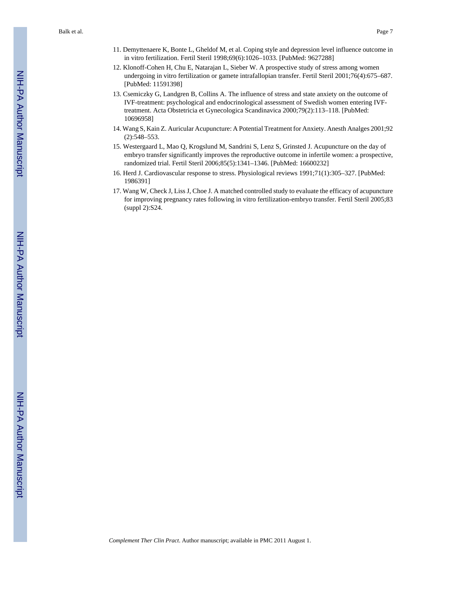- 11. Demyttenaere K, Bonte L, Gheldof M, et al. Coping style and depression level influence outcome in in vitro fertilization. Fertil Steril 1998;69(6):1026–1033. [PubMed: 9627288]
- 12. Klonoff-Cohen H, Chu E, Natarajan L, Sieber W. A prospective study of stress among women undergoing in vitro fertilization or gamete intrafallopian transfer. Fertil Steril 2001;76(4):675–687. [PubMed: 11591398]
- 13. Csemiczky G, Landgren B, Collins A. The influence of stress and state anxiety on the outcome of IVF-treatment: psychological and endocrinological assessment of Swedish women entering IVFtreatment. Acta Obstetricia et Gynecologica Scandinavica 2000;79(2):113–118. [PubMed: 10696958]
- 14. Wang S, Kain Z. Auricular Acupuncture: A Potential Treatment for Anxiety. Anesth Analges 2001;92 (2):548–553.
- 15. Westergaard L, Mao Q, Krogslund M, Sandrini S, Lenz S, Grinsted J. Acupuncture on the day of embryo transfer significantly improves the reproductive outcome in infertile women: a prospective, randomized trial. Fertil Steril 2006;85(5):1341–1346. [PubMed: 16600232]
- 16. Herd J. Cardiovascular response to stress. Physiological reviews 1991;71(1):305–327. [PubMed: 1986391]
- 17. Wang W, Check J, Liss J, Choe J. A matched controlled study to evaluate the efficacy of acupuncture for improving pregnancy rates following in vitro fertilization-embryo transfer. Fertil Steril 2005;83 (suppl 2):S24.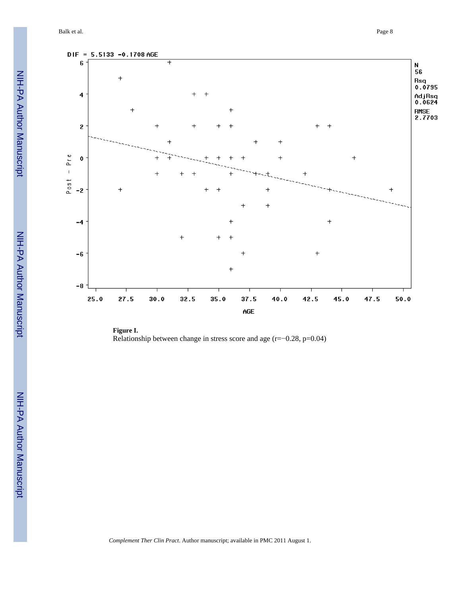Balk et al. Page 8



**Figure I.** Relationship between change in stress score and age  $(r=-0.28, p=0.04)$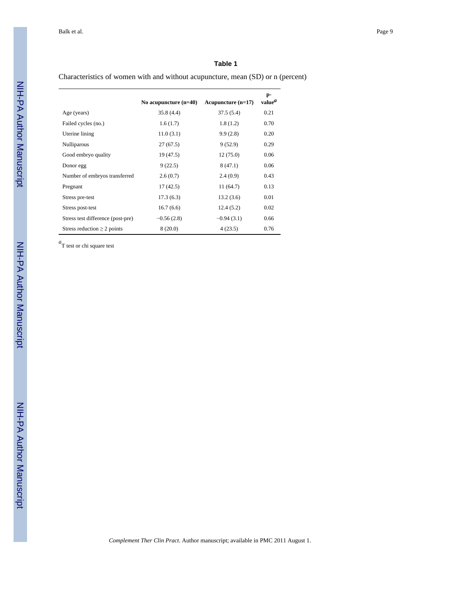#### **Table 1**

Characteristics of women with and without acupuncture, mean (SD) or n (percent)

|                                   | No acupuncture $(n=40)$ | Acupuncture $(n=17)$ | p-<br>value <sup>a</sup> |
|-----------------------------------|-------------------------|----------------------|--------------------------|
| Age (years)                       | 35.8(4.4)               | 37.5(5.4)            | 0.21                     |
| Failed cycles (no.)               | 1.6(1.7)                | 1.8(1.2)             | 0.70                     |
| Uterine lining                    | 11.0(3.1)               | 9.9(2.8)             | 0.20                     |
| Nulliparous                       | 27(67.5)                | 9(52.9)              | 0.29                     |
| Good embryo quality               | 19 (47.5)               | 12(75.0)             | 0.06                     |
| Donor egg                         | 9(22.5)                 | 8(47.1)              | 0.06                     |
| Number of embryos transferred     | 2.6(0.7)                | 2.4(0.9)             | 0.43                     |
| Pregnant                          | 17(42.5)                | 11(64.7)             | 0.13                     |
| Stress pre-test                   | 17.3(6.3)               | 13.2(3.6)            | 0.01                     |
| Stress post-test                  | 16.7(6.6)               | 12.4(5.2)            | 0.02                     |
| Stress test difference (post-pre) | $-0.56(2.8)$            | $-0.94(3.1)$         | 0.66                     |
| Stress reduction $\geq 2$ points  | 8(20.0)                 | 4(23.5)              | 0.76                     |

*a* T test or chi square test